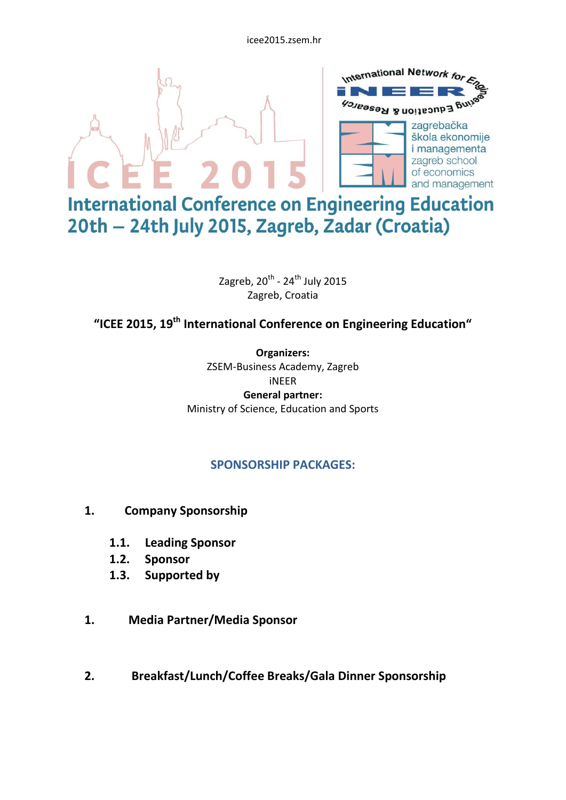icee2015.zsem.hr



20th - 24th July 2015, Zagreb, Zadar (Croatia)

Zagreb, 20<sup>th</sup> - 24<sup>th</sup> July 2015 Zagreb, Croatia

**"ICEE 2015, 19th International Conference on Engineering Education"**

**Organizers:** ZSEM-Business Academy, Zagreb iNEER **General partner:** Ministry of Science, Education and Sports

## **SPONSORSHIP PACKAGES:**

- **1. Company Sponsorship**
	- **1.1. Leading Sponsor**
	- **1.2. Sponsor**
	- **1.3. Supported by**
- **1. Media Partner/Media Sponsor**
- **2. Breakfast/Lunch/Coffee Breaks/Gala Dinner Sponsorship**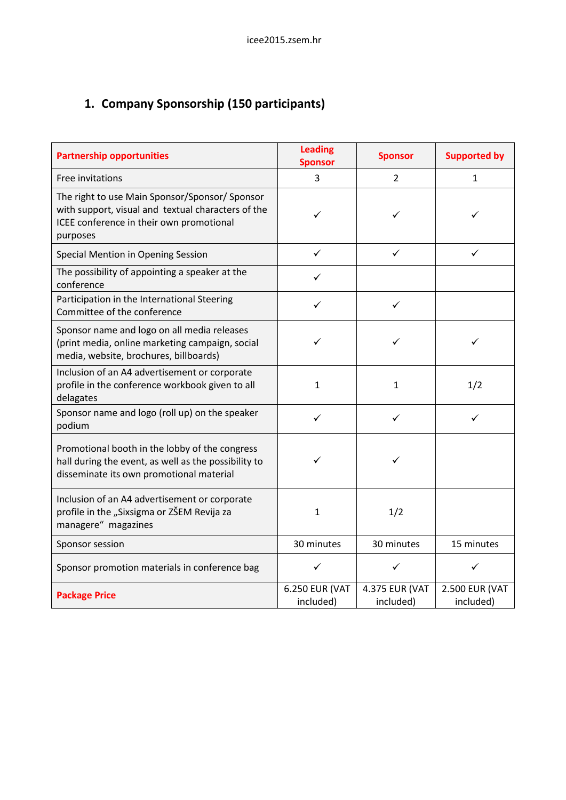## **1. Company Sponsorship (150 participants)**

| <b>Partnership opportunities</b>                                                                                                                            | <b>Leading</b><br><b>Sponsor</b> | <b>Sponsor</b>              | <b>Supported by</b>                |  |
|-------------------------------------------------------------------------------------------------------------------------------------------------------------|----------------------------------|-----------------------------|------------------------------------|--|
| Free invitations                                                                                                                                            | 3                                | $\overline{2}$              | $\mathbf{1}$                       |  |
| The right to use Main Sponsor/Sponsor/Sponsor<br>with support, visual and textual characters of the<br>ICEE conference in their own promotional<br>purposes | ✓                                | ✓                           | ✓                                  |  |
| Special Mention in Opening Session                                                                                                                          | $\checkmark$                     | $\checkmark$                | ✓                                  |  |
| The possibility of appointing a speaker at the<br>conference                                                                                                | ✓                                |                             |                                    |  |
| Participation in the International Steering<br>Committee of the conference                                                                                  | ✓                                | ✓                           |                                    |  |
| Sponsor name and logo on all media releases<br>(print media, online marketing campaign, social<br>media, website, brochures, billboards)                    |                                  | ✓                           | ✓                                  |  |
| Inclusion of an A4 advertisement or corporate<br>profile in the conference workbook given to all<br>delagates                                               | $\mathbf{1}$                     | $\mathbf 1$                 | 1/2                                |  |
| Sponsor name and logo (roll up) on the speaker<br>podium                                                                                                    | ✓                                | ✓                           | ✓                                  |  |
| Promotional booth in the lobby of the congress<br>hall during the event, as well as the possibility to<br>disseminate its own promotional material          |                                  | ✓                           |                                    |  |
| Inclusion of an A4 advertisement or corporate<br>profile in the "Sixsigma or ZŠEM Revija za<br>managere" magazines                                          | $\mathbf 1$                      | 1/2                         |                                    |  |
| Sponsor session                                                                                                                                             | 30 minutes                       | 30 minutes                  | 15 minutes                         |  |
| Sponsor promotion materials in conference bag                                                                                                               | ✓                                | ✓                           | ✓                                  |  |
| <b>Package Price</b>                                                                                                                                        | 6.250 EUR (VAT<br>included)      | 4.375 EUR (VAT<br>included) | <b>2.500 EUR (VAT</b><br>included) |  |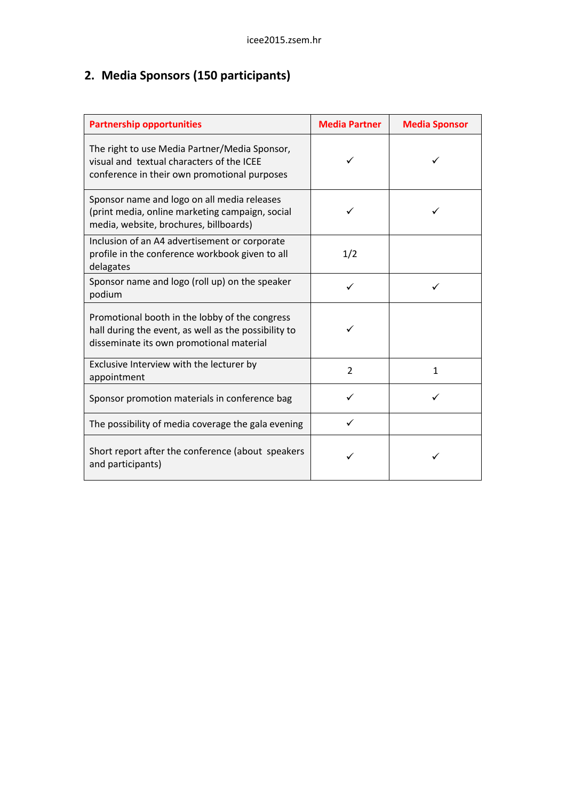## **2. Media Sponsors (150 participants)**

| <b>Partnership opportunities</b>                                                                                                                   | <b>Media Partner</b> | <b>Media Sponsor</b> |  |
|----------------------------------------------------------------------------------------------------------------------------------------------------|----------------------|----------------------|--|
| The right to use Media Partner/Media Sponsor,<br>visual and textual characters of the ICEE<br>conference in their own promotional purposes         |                      |                      |  |
| Sponsor name and logo on all media releases<br>(print media, online marketing campaign, social<br>media, website, brochures, billboards)           |                      |                      |  |
| Inclusion of an A4 advertisement or corporate<br>profile in the conference workbook given to all<br>delagates                                      | 1/2                  |                      |  |
| Sponsor name and logo (roll up) on the speaker<br>podium                                                                                           | ✓                    |                      |  |
| Promotional booth in the lobby of the congress<br>hall during the event, as well as the possibility to<br>disseminate its own promotional material |                      |                      |  |
| Exclusive Interview with the lecturer by<br>appointment                                                                                            | $\overline{2}$       | 1                    |  |
| Sponsor promotion materials in conference bag                                                                                                      | ✓                    | ✓                    |  |
| The possibility of media coverage the gala evening                                                                                                 |                      |                      |  |
| Short report after the conference (about speakers<br>and participants)                                                                             |                      |                      |  |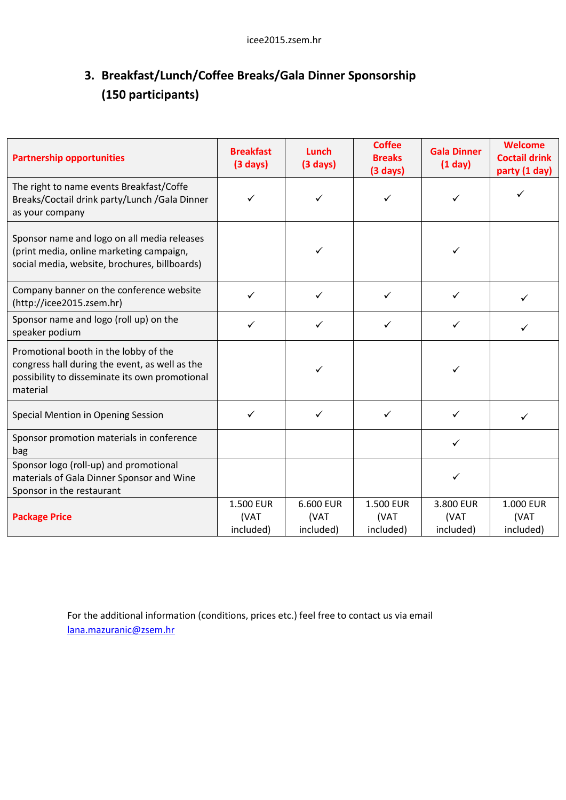## **3. Breakfast/Lunch/Coffee Breaks/Gala Dinner Sponsorship (150 participants)**

| <b>Partnership opportunities</b>                                                                                                                      | <b>Breakfast</b><br>$(3 \text{ days})$ | Lunch<br>$(3 \text{ days})$    | <b>Coffee</b><br><b>Breaks</b><br>$(3 \text{ days})$ | <b>Gala Dinner</b><br>(1 day)  | Welcome<br><b>Coctail drink</b><br>party (1 day) |
|-------------------------------------------------------------------------------------------------------------------------------------------------------|----------------------------------------|--------------------------------|------------------------------------------------------|--------------------------------|--------------------------------------------------|
| The right to name events Breakfast/Coffe<br>Breaks/Coctail drink party/Lunch / Gala Dinner<br>as your company                                         | ✓                                      | ✓                              |                                                      |                                | ✓                                                |
| Sponsor name and logo on all media releases<br>(print media, online marketing campaign,<br>social media, website, brochures, billboards)              |                                        | $\checkmark$                   |                                                      | ✓                              |                                                  |
| Company banner on the conference website<br>(http://icee2015.zsem.hr)                                                                                 | ✓                                      | $\checkmark$                   | ✓                                                    | ✓                              | $\checkmark$                                     |
| Sponsor name and logo (roll up) on the<br>speaker podium                                                                                              | ✓                                      | ✓                              | ✓                                                    | ✓                              | ✓                                                |
| Promotional booth in the lobby of the<br>congress hall during the event, as well as the<br>possibility to disseminate its own promotional<br>material |                                        | $\checkmark$                   |                                                      | ✓                              |                                                  |
| Special Mention in Opening Session                                                                                                                    | ✓                                      | $\checkmark$                   | ✓                                                    | ✓                              | ✓                                                |
| Sponsor promotion materials in conference<br>bag                                                                                                      |                                        |                                |                                                      | ✓                              |                                                  |
| Sponsor logo (roll-up) and promotional<br>materials of Gala Dinner Sponsor and Wine<br>Sponsor in the restaurant                                      |                                        |                                |                                                      | $\checkmark$                   |                                                  |
| <b>Package Price</b>                                                                                                                                  | 1.500 EUR<br>(VAT<br>included)         | 6.600 EUR<br>(VAT<br>included) | 1.500 EUR<br>(VAT<br>included)                       | 3.800 EUR<br>(VAT<br>included) | 1.000 EUR<br>(VAT<br>included)                   |

For the additional information (conditions, prices etc.) feel free to contact us via email [lana.mazuranic@zsem.hr](mailto:lana.mazuranic@zsem.hr)